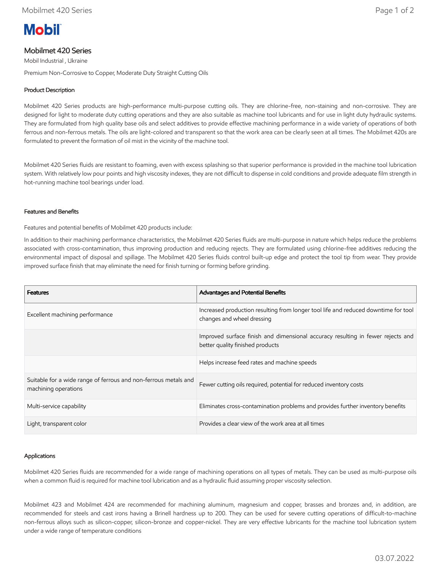# **Mobil**

## Mobilmet 420 Series

Mobil Industrial , Ukraine

Premium Non-Corrosive to Copper, Moderate Duty Straight Cutting Oils

### Product Description

Mobilmet 420 Series products are high-performance multi-purpose cutting oils. They are chlorine-free, non-staining and non-corrosive. They are designed for light to moderate duty cutting operations and they are also suitable as machine tool lubricants and for use in light duty hydraulic systems. They are formulated from high quality base oils and select additives to provide effective machining performance in a wide variety of operations of both ferrous and non-ferrous metals. The oils are light-colored and transparent so that the work area can be clearly seen at all times. The Mobilmet 420s are formulated to prevent the formation of oil mist in the vicinity of the machine tool.

Mobilmet 420 Series fluids are resistant to foaming, even with excess splashing so that superior performance is provided in the machine tool lubrication system. With relatively low pour points and high viscosity indexes, they are not difficult to dispense in cold conditions and provide adequate film strength in hot-running machine tool bearings under load.

#### Features and Benefits

Features and potential benefits of Mobilmet 420 products include:

In addition to their machining performance characteristics, the Mobilmet 420 Series fluids are multi-purpose in nature which helps reduce the problems associated with cross-contamination, thus improving production and reducing rejects. They are formulated using chlorine-free additives reducing the environmental impact of disposal and spillage. The Mobilmet 420 Series fluids control built-up edge and protect the tool tip from wear. They provide improved surface finish that may eliminate the need for finish turning or forming before grinding.

| <b>Features</b>                                                                         | <b>Advantages and Potential Benefits</b>                                                                            |
|-----------------------------------------------------------------------------------------|---------------------------------------------------------------------------------------------------------------------|
| Excellent machining performance                                                         | Increased production resulting from longer tool life and reduced downtime for tool<br>changes and wheel dressing    |
|                                                                                         | Improved surface finish and dimensional accuracy resulting in fewer rejects and<br>better quality finished products |
|                                                                                         | Helps increase feed rates and machine speeds                                                                        |
| Suitable for a wide range of ferrous and non-ferrous metals and<br>machining operations | Fewer cutting oils required, potential for reduced inventory costs                                                  |
| Multi-service capability                                                                | Eliminates cross-contamination problems and provides further inventory benefits                                     |
| Light, transparent color                                                                | Provides a clear view of the work area at all times                                                                 |

#### Applications

Mobilmet 420 Series fluids are recommended for a wide range of machining operations on all types of metals. They can be used as multi-purpose oils when a common fluid is required for machine tool lubrication and as a hydraulic fluid assuming proper viscosity selection.

Mobilmet 423 and Mobilmet 424 are recommended for machining aluminum, magnesium and copper, brasses and bronzes and, in addition, are recommended for steels and cast irons having a Brinell hardness up to 200. They can be used for severe cutting operations of difficult-to-machine non-ferrous alloys such as silicon-copper, silicon-bronze and copper-nickel. They are very effective lubricants for the machine tool lubrication system under a wide range of temperature conditions